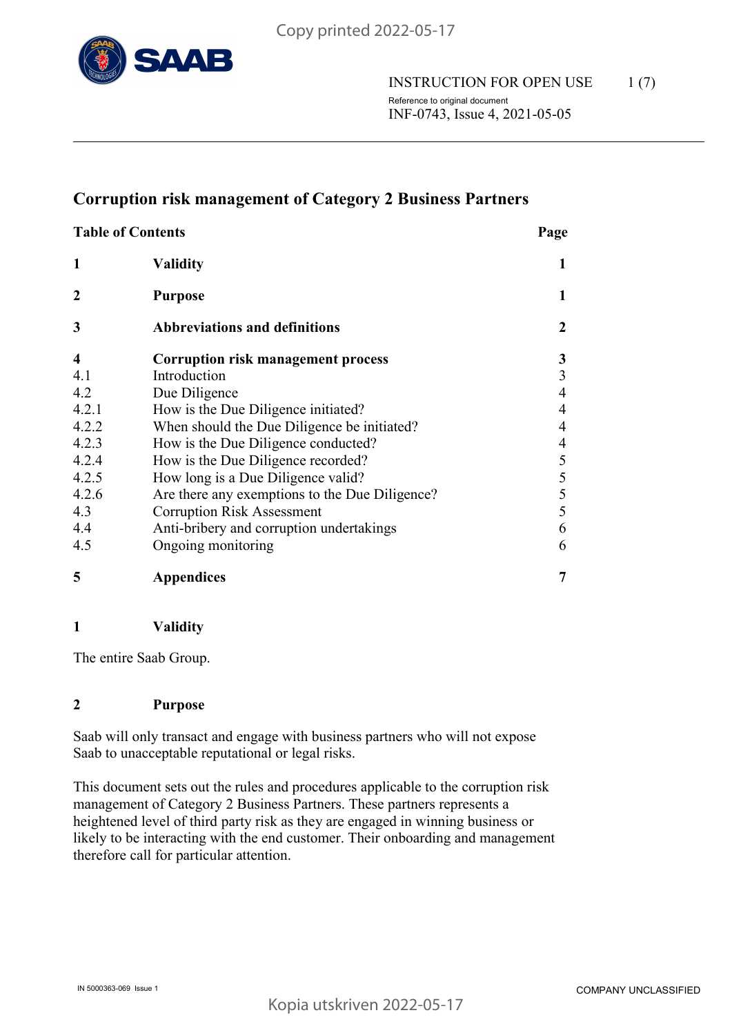

# **Corruption risk management of Category 2 Business Partners**

| <b>Table of Contents</b> |                                                | Page           |
|--------------------------|------------------------------------------------|----------------|
| 1                        | <b>Validity</b>                                | 1              |
| $\mathbf{2}$             | <b>Purpose</b>                                 | 1              |
| 3                        | <b>Abbreviations and definitions</b>           | $\mathbf{2}$   |
| 4                        | <b>Corruption risk management process</b>      | $\mathbf{3}$   |
| 4.1                      | Introduction                                   | 3              |
| 4.2                      | Due Diligence                                  | $\overline{4}$ |
| 4.2.1                    | How is the Due Diligence initiated?            | $\overline{4}$ |
| 4.2.2                    | When should the Due Diligence be initiated?    | $\overline{4}$ |
| 4.2.3                    | How is the Due Diligence conducted?            | $\overline{4}$ |
| 4.2.4                    | How is the Due Diligence recorded?             | 5              |
| 4.2.5                    | How long is a Due Diligence valid?             | 5              |
| 4.2.6                    | Are there any exemptions to the Due Diligence? | 5              |
| 4.3                      | <b>Corruption Risk Assessment</b>              | 5              |
| 4.4                      | Anti-bribery and corruption undertakings       | 6              |
| 4.5                      | Ongoing monitoring                             | 6              |
| 5                        | <b>Appendices</b>                              | 7              |

## **1 Validity**

The entire Saab Group.

#### **2 Purpose**

Saab will only transact and engage with business partners who will not expose Saab to unacceptable reputational or legal risks.

This document sets out the rules and procedures applicable to the corruption risk management of Category 2 Business Partners. These partners represents a heightened level of third party risk as they are engaged in winning business or likely to be interacting with the end customer. Their onboarding and management therefore call for particular attention.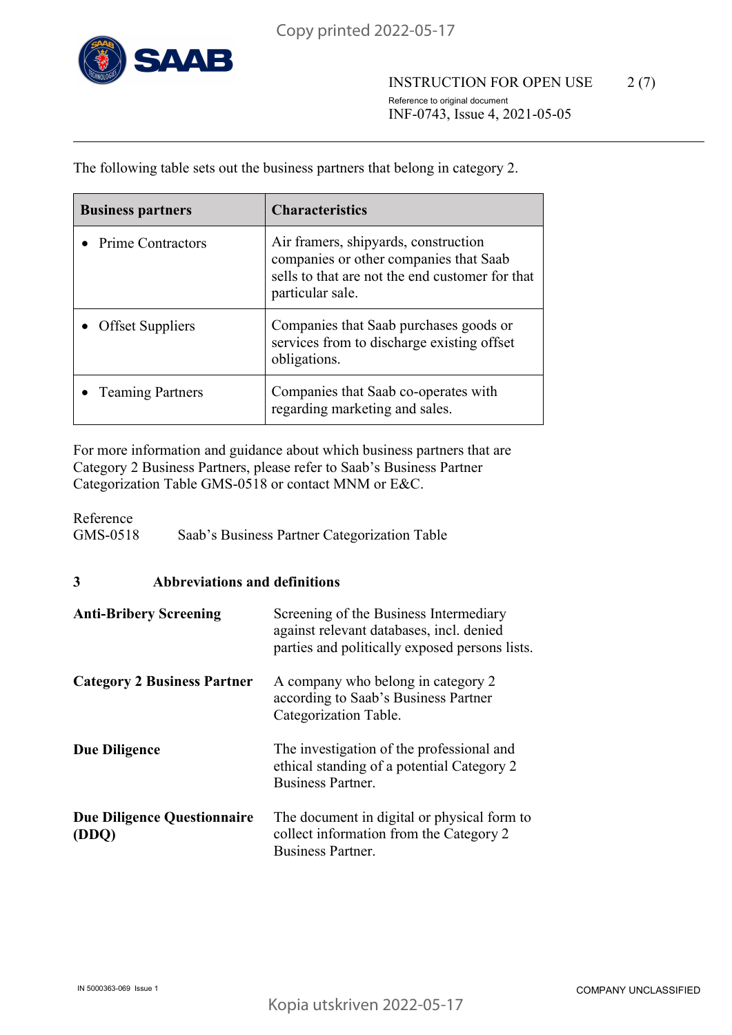

The following table sets out the business partners that belong in category 2.

| <b>Business partners</b> | <b>Characteristics</b>                                                                                                                                |
|--------------------------|-------------------------------------------------------------------------------------------------------------------------------------------------------|
| <b>Prime Contractors</b> | Air framers, shipyards, construction<br>companies or other companies that Saab<br>sells to that are not the end customer for that<br>particular sale. |
| <b>Offset Suppliers</b>  | Companies that Saab purchases goods or<br>services from to discharge existing offset<br>obligations.                                                  |
| <b>Teaming Partners</b>  | Companies that Saab co-operates with<br>regarding marketing and sales.                                                                                |

For more information and guidance about which business partners that are Category 2 Business Partners, please refer to Saab's Business Partner Categorization Table GMS-0518 or contact MNM or E&C.

Reference

GMS-0518 Saab's Business Partner Categorization Table

## **3 Abbreviations and definitions**

| <b>Anti-Bribery Screening</b>               | Screening of the Business Intermediary<br>against relevant databases, incl. denied<br>parties and politically exposed persons lists. |
|---------------------------------------------|--------------------------------------------------------------------------------------------------------------------------------------|
| <b>Category 2 Business Partner</b>          | A company who belong in category 2<br>according to Saab's Business Partner<br>Categorization Table.                                  |
| <b>Due Diligence</b>                        | The investigation of the professional and<br>ethical standing of a potential Category 2<br><b>Business Partner.</b>                  |
| <b>Due Diligence Questionnaire</b><br>(DDO) | The document in digital or physical form to<br>collect information from the Category 2<br><b>Business Partner.</b>                   |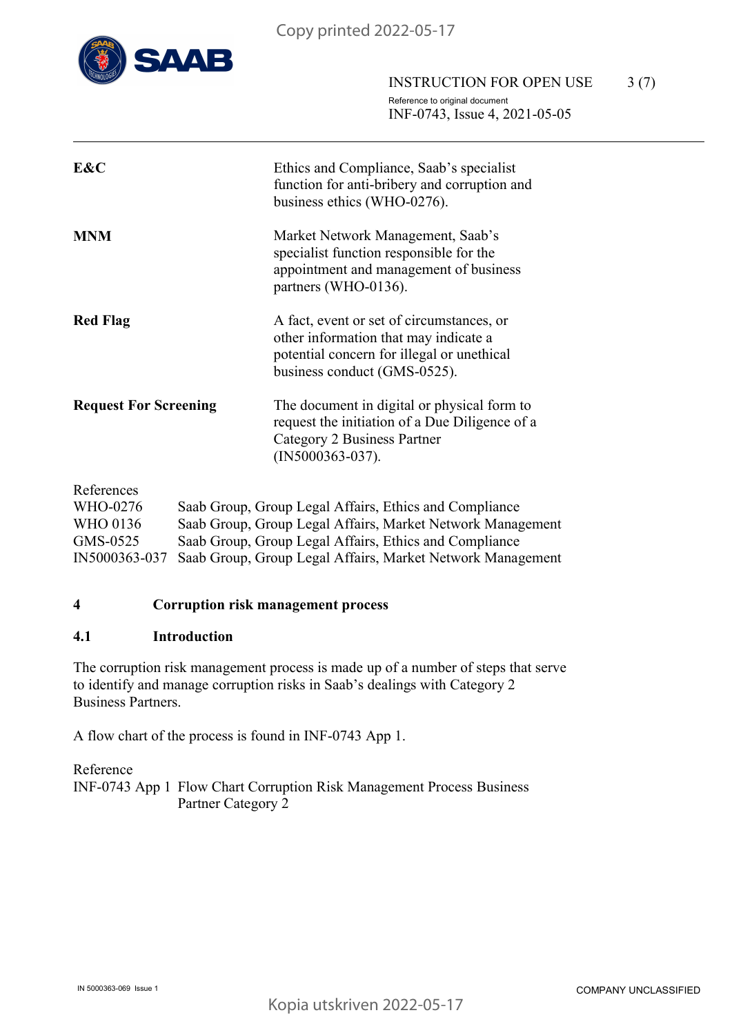

INSTRUCTION FOR OPEN USE 3 (7)

| Reference to original document |  |  |  |
|--------------------------------|--|--|--|
| INF-0743, Issue 4, 2021-05-05  |  |  |  |

| E&C                          | Ethics and Compliance, Saab's specialist<br>function for anti-bribery and corruption and<br>business ethics (WHO-0276).                                          |
|------------------------------|------------------------------------------------------------------------------------------------------------------------------------------------------------------|
| <b>MNM</b>                   | Market Network Management, Saab's<br>specialist function responsible for the<br>appointment and management of business<br>partners (WHO-0136).                   |
| <b>Red Flag</b>              | A fact, event or set of circumstances, or<br>other information that may indicate a<br>potential concern for illegal or unethical<br>business conduct (GMS-0525). |
| <b>Request For Screening</b> | The document in digital or physical form to<br>request the initiation of a Due Diligence of a<br>Category 2 Business Partner<br>(IN5000363-037).                 |

References

| WHO-0276 | Saab Group, Group Legal Affairs, Ethics and Compliance                   |
|----------|--------------------------------------------------------------------------|
| WHO 0136 | Saab Group, Group Legal Affairs, Market Network Management               |
| GMS-0525 | Saab Group, Group Legal Affairs, Ethics and Compliance                   |
|          | IN5000363-037 Saab Group, Group Legal Affairs, Market Network Management |

#### **4 Corruption risk management process**

#### **4.1 Introduction**

The corruption risk management process is made up of a number of steps that serve to identify and manage corruption risks in Saab's dealings with Category 2 Business Partners.

A flow chart of the process is found in INF-0743 App 1.

Reference INF-0743 App 1 Flow Chart Corruption Risk Management Process Business Partner Category 2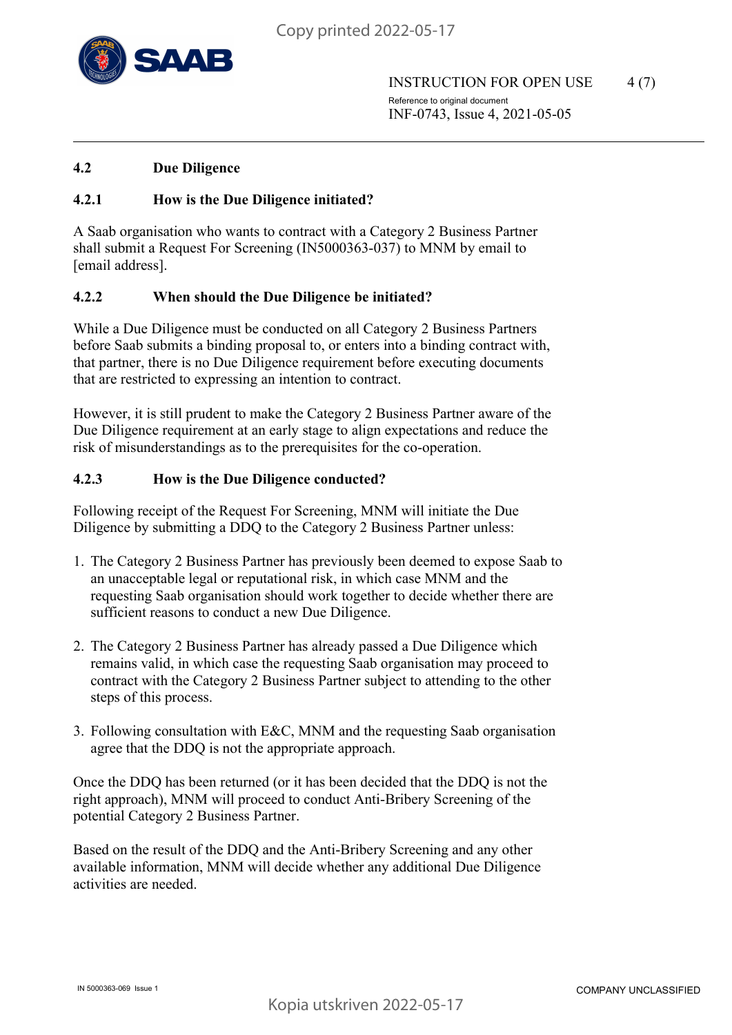

## **4.2 Due Diligence**

## **4.2.1 How is the Due Diligence initiated?**

A Saab organisation who wants to contract with a Category 2 Business Partner shall submit a Request For Screening (IN5000363-037) to MNM by email to [email address].

#### **4.2.2 When should the Due Diligence be initiated?**

While a Due Diligence must be conducted on all Category 2 Business Partners before Saab submits a binding proposal to, or enters into a binding contract with, that partner, there is no Due Diligence requirement before executing documents that are restricted to expressing an intention to contract.

However, it is still prudent to make the Category 2 Business Partner aware of the Due Diligence requirement at an early stage to align expectations and reduce the risk of misunderstandings as to the prerequisites for the co-operation.

#### **4.2.3 How is the Due Diligence conducted?**

Following receipt of the Request For Screening, MNM will initiate the Due Diligence by submitting a DDQ to the Category 2 Business Partner unless:

- 1. The Category 2 Business Partner has previously been deemed to expose Saab to an unacceptable legal or reputational risk, in which case MNM and the requesting Saab organisation should work together to decide whether there are sufficient reasons to conduct a new Due Diligence.
- 2. The Category 2 Business Partner has already passed a Due Diligence which remains valid, in which case the requesting Saab organisation may proceed to contract with the Category 2 Business Partner subject to attending to the other steps of this process.
- 3. Following consultation with E&C, MNM and the requesting Saab organisation agree that the DDQ is not the appropriate approach.

Once the DDQ has been returned (or it has been decided that the DDQ is not the right approach), MNM will proceed to conduct Anti-Bribery Screening of the potential Category 2 Business Partner.

Based on the result of the DDQ and the Anti-Bribery Screening and any other available information, MNM will decide whether any additional Due Diligence activities are needed.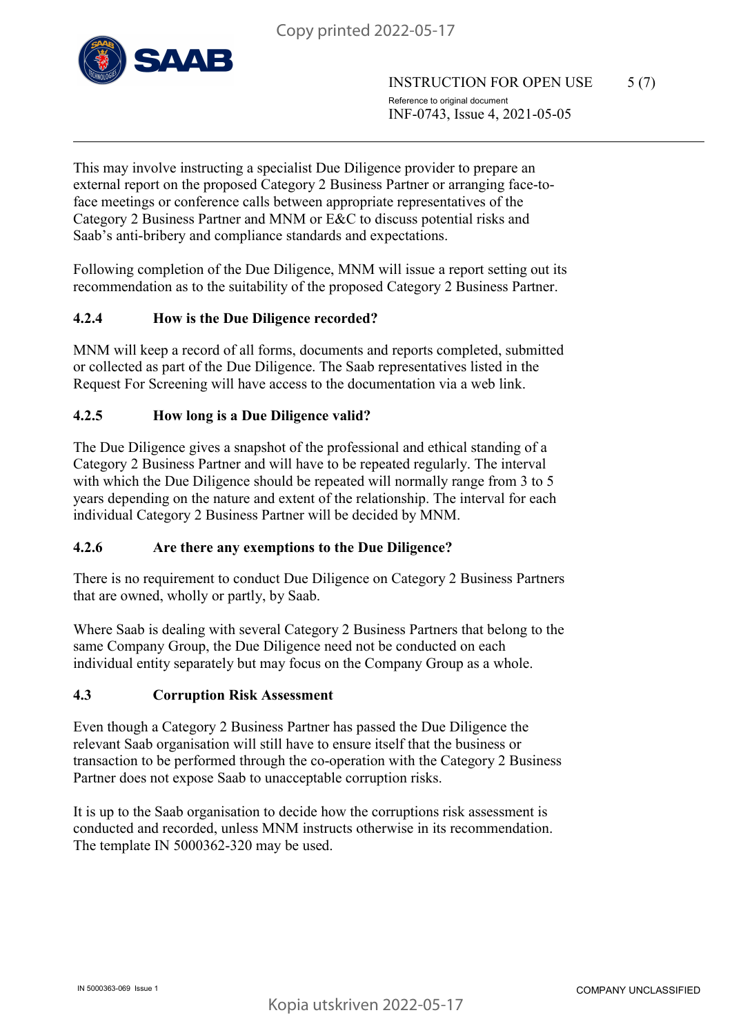

This may involve instructing a specialist Due Diligence provider to prepare an external report on the proposed Category 2 Business Partner or arranging face-toface meetings or conference calls between appropriate representatives of the Category 2 Business Partner and MNM or E&C to discuss potential risks and Saab's anti-bribery and compliance standards and expectations.

Following completion of the Due Diligence, MNM will issue a report setting out its recommendation as to the suitability of the proposed Category 2 Business Partner.

## **4.2.4 How is the Due Diligence recorded?**

MNM will keep a record of all forms, documents and reports completed, submitted or collected as part of the Due Diligence. The Saab representatives listed in the Request For Screening will have access to the documentation via a web link.

## **4.2.5 How long is a Due Diligence valid?**

The Due Diligence gives a snapshot of the professional and ethical standing of a Category 2 Business Partner and will have to be repeated regularly. The interval with which the Due Diligence should be repeated will normally range from 3 to 5 years depending on the nature and extent of the relationship. The interval for each individual Category 2 Business Partner will be decided by MNM.

## **4.2.6 Are there any exemptions to the Due Diligence?**

There is no requirement to conduct Due Diligence on Category 2 Business Partners that are owned, wholly or partly, by Saab.

Where Saab is dealing with several Category 2 Business Partners that belong to the same Company Group, the Due Diligence need not be conducted on each individual entity separately but may focus on the Company Group as a whole.

## **4.3 Corruption Risk Assessment**

Even though a Category 2 Business Partner has passed the Due Diligence the relevant Saab organisation will still have to ensure itself that the business or transaction to be performed through the co-operation with the Category 2 Business Partner does not expose Saab to unacceptable corruption risks.

It is up to the Saab organisation to decide how the corruptions risk assessment is conducted and recorded, unless MNM instructs otherwise in its recommendation. The template IN 5000362-320 may be used.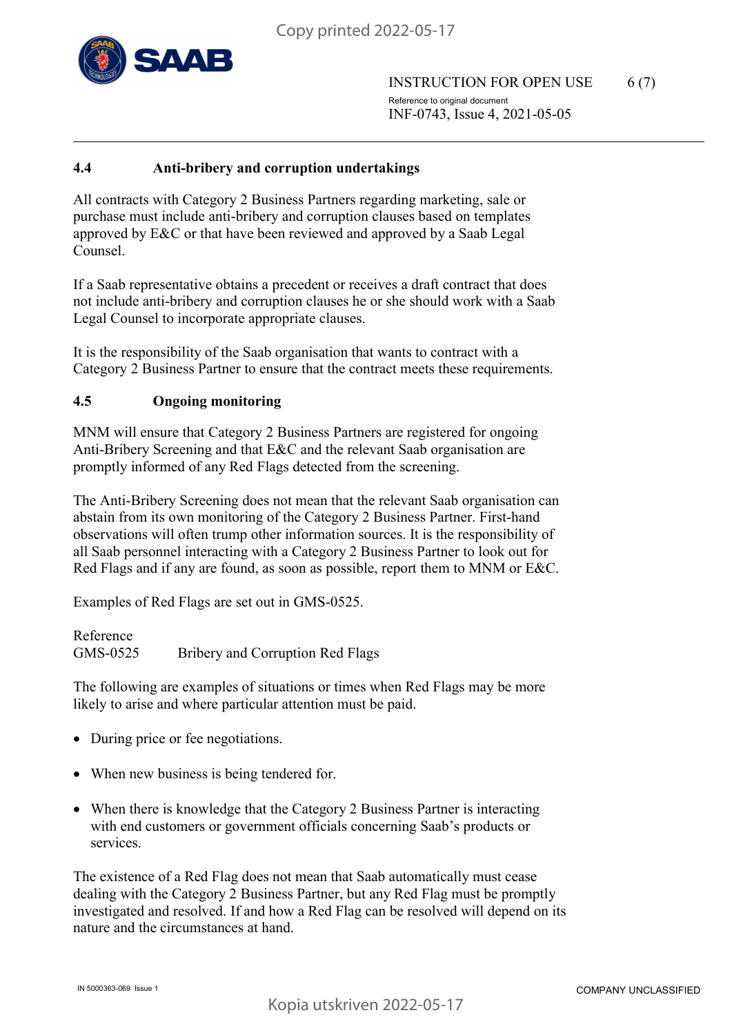

## **4.4 Anti-bribery and corruption undertakings**

All contracts with Category 2 Business Partners regarding marketing, sale or purchase must include anti-bribery and corruption clauses based on templates approved by E&C or that have been reviewed and approved by a Saab Legal Counsel.

If a Saab representative obtains a precedent or receives a draft contract that does not include anti-bribery and corruption clauses he or she should work with a Saab Legal Counsel to incorporate appropriate clauses.

It is the responsibility of the Saab organisation that wants to contract with a Category 2 Business Partner to ensure that the contract meets these requirements.

## **4.5 Ongoing monitoring**

MNM will ensure that Category 2 Business Partners are registered for ongoing Anti-Bribery Screening and that E&C and the relevant Saab organisation are promptly informed of any Red Flags detected from the screening.

The Anti-Bribery Screening does not mean that the relevant Saab organisation can abstain from its own monitoring of the Category 2 Business Partner. First-hand observations will often trump other information sources. It is the responsibility of all Saab personnel interacting with a Category 2 Business Partner to look out for Red Flags and if any are found, as soon as possible, report them to MNM or E&C.

Examples of Red Flags are set out in GMS-0525.

Reference GMS-0525 Bribery and Corruption Red Flags

The following are examples of situations or times when Red Flags may be more likely to arise and where particular attention must be paid.

- During price or fee negotiations.
- When new business is being tendered for.
- When there is knowledge that the Category 2 Business Partner is interacting with end customers or government officials concerning Saab's products or services.

The existence of a Red Flag does not mean that Saab automatically must cease dealing with the Category 2 Business Partner, but any Red Flag must be promptly investigated and resolved. If and how a Red Flag can be resolved will depend on its nature and the circumstances at hand.